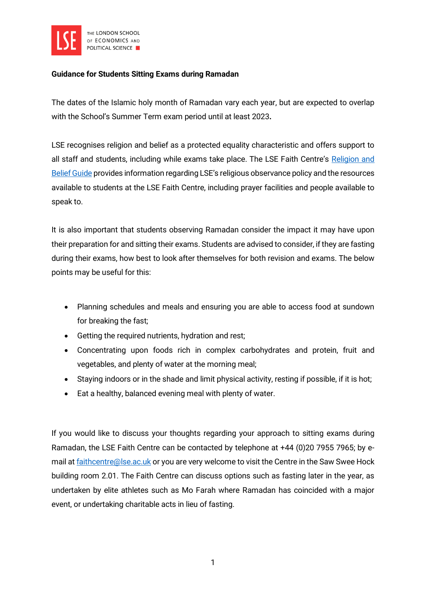

## Guidance for Students Sitting Exams during Ramadan

The dates of the Islamic holy month of Ramadan vary each year, but are expected to overlap with the School's Summer Term exam period until at least 2023.

LSE recognises religion and belief as a protected equality characteristic and offers support to all staff and students, including while exams take place. The LSE Faith Centre's Religion and [Belief Guide](https://info.lse.ac.uk/Current-Students/Faith-Centre/Religion-and-Belief-Guide) provides information regarding LSE's religious observance policy and the resources available to students at the LSE Faith Centre, including prayer facilities and people available to speak to.

It is also important that students observing Ramadan consider the impact it may have upon their preparation for and sitting their exams. Students are advised to consider, if they are fasting during their exams, how best to look after themselves for both revision and exams. The below points may be useful for this:

- Planning schedules and meals and ensuring you are able to access food at sundown for breaking the fast;
- Getting the required nutrients, hydration and rest;
- Concentrating upon foods rich in complex carbohydrates and protein, fruit and vegetables, and plenty of water at the morning meal;
- Staying indoors or in the shade and limit physical activity, resting if possible, if it is hot;
- Eat a healthy, balanced evening meal with plenty of water.

If you would like to discuss your thoughts regarding your approach to sitting exams during Ramadan, the LSE Faith Centre can be contacted by telephone at +44 (0)20 7955 7965; by email at [faithcentre@lse.ac.uk](mailto:faithcentre@lse.ac.uk) or you are very welcome to visit the Centre in the Saw Swee Hock building room 2.01. The Faith Centre can discuss options such as fasting later in the year, as undertaken by elite athletes such as Mo Farah where Ramadan has coincided with a major event, or undertaking charitable acts in lieu of fasting.